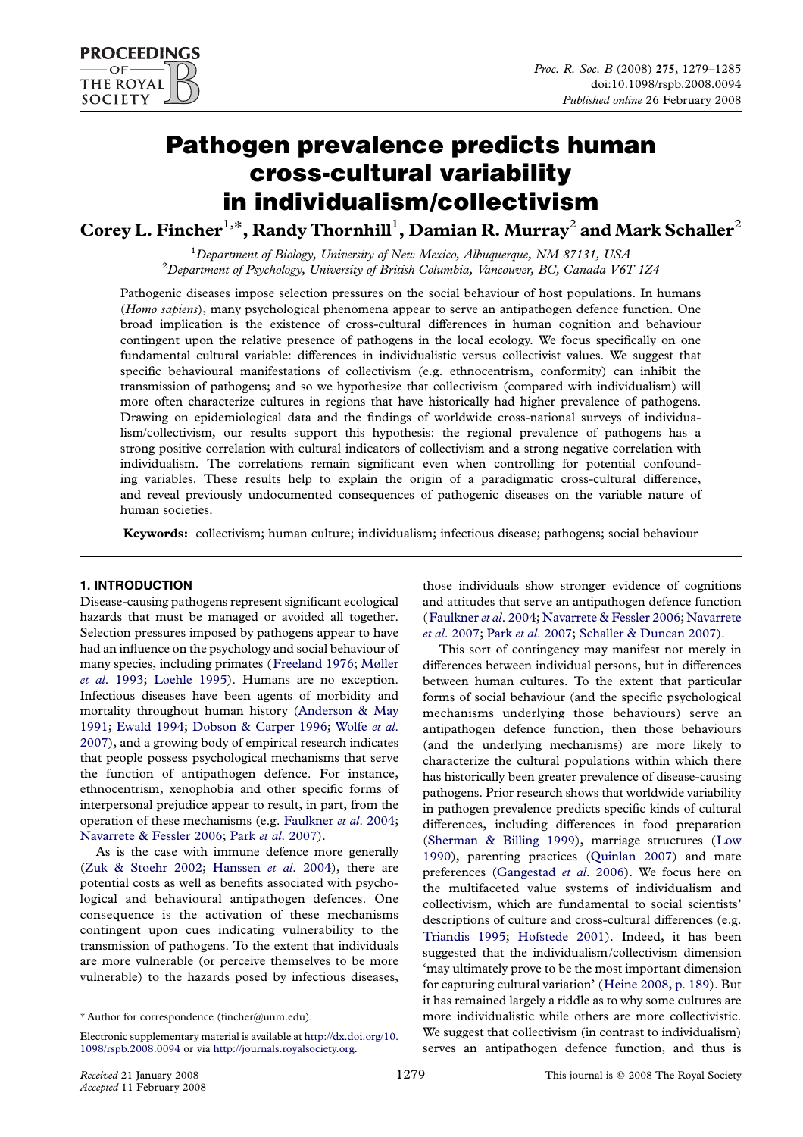# Pathogen prevalence predicts human cross-cultural variability in individualism/collectivism

Corey L. Fincher $^{1,\ast}$ , Randy Thornhill $^1$ , Damian R. Murray $^2$  and Mark Schaller $^2$ 

<sup>1</sup>Department of Biology, University of New Mexico, Albuquerque, NM 87131, USA<br><sup>2</sup>Department of Bayshology, University of British Columbia, Venezuera, BC, Canada V67  ${}^{2}$ Department of Psychology, University of British Columbia, Vancouver, BC, Canada V6T 1Z4

Pathogenic diseases impose selection pressures on the social behaviour of host populations. In humans (Homo sapiens), many psychological phenomena appear to serve an antipathogen defence function. One broad implication is the existence of cross-cultural differences in human cognition and behaviour contingent upon the relative presence of pathogens in the local ecology. We focus specifically on one fundamental cultural variable: differences in individualistic versus collectivist values. We suggest that specific behavioural manifestations of collectivism (e.g. ethnocentrism, conformity) can inhibit the transmission of pathogens; and so we hypothesize that collectivism (compared with individualism) will more often characterize cultures in regions that have historically had higher prevalence of pathogens. Drawing on epidemiological data and the findings of worldwide cross-national surveys of individualism/collectivism, our results support this hypothesis: the regional prevalence of pathogens has a strong positive correlation with cultural indicators of collectivism and a strong negative correlation with individualism. The correlations remain significant even when controlling for potential confounding variables. These results help to explain the origin of a paradigmatic cross-cultural difference, and reveal previously undocumented consequences of pathogenic diseases on the variable nature of human societies.

Keywords: collectivism; human culture; individualism; infectious disease; pathogens; social behaviour

## 1. INTRODUCTION

Disease-causing pathogens represent significant ecological hazards that must be managed or avoided all together. Selection pressures imposed by pathogens appear to have had an influence on the psychology and social behaviour of many species, including primates ([Freeland 1976](#page-5-0); [Møller](#page-5-0) et al[. 1993](#page-5-0); [Loehle 1995](#page-5-0)). Humans are no exception. Infectious diseases have been agents of morbidity and mortality throughout human history [\(Anderson & May](#page-5-0) [1991](#page-5-0); [Ewald 1994](#page-5-0); [Dobson & Carper 1996](#page-5-0); [Wolfe](#page-6-0) et al. [2007](#page-6-0)), and a growing body of empirical research indicates that people possess psychological mechanisms that serve the function of antipathogen defence. For instance, ethnocentrism, xenophobia and other specific forms of interpersonal prejudice appear to result, in part, from the operation of these mechanisms (e.g. [Faulkner](#page-5-0) et al. 2004; [Navarrete & Fessler 2006;](#page-5-0) Park et al[. 2007\)](#page-5-0).

As is the case with immune defence more generally ([Zuk & Stoehr 2002;](#page-6-0) [Hanssen](#page-5-0) et al. 2004), there are potential costs as well as benefits associated with psychological and behavioural antipathogen defences. One consequence is the activation of these mechanisms contingent upon cues indicating vulnerability to the transmission of pathogens. To the extent that individuals are more vulnerable (or perceive themselves to be more vulnerable) to the hazards posed by infectious diseases,

those individuals show stronger evidence of cognitions and attitudes that serve an antipathogen defence function ([Faulkner](#page-5-0) et al. 2004; [Navarrete & Fessler 2006](#page-5-0); [Navarrete](#page-5-0) et al[. 2007;](#page-5-0) Park et al[. 2007](#page-5-0); [Schaller & Duncan 2007\)](#page-5-0).

This sort of contingency may manifest not merely in differences between individual persons, but in differences between human cultures. To the extent that particular forms of social behaviour (and the specific psychological mechanisms underlying those behaviours) serve an antipathogen defence function, then those behaviours (and the underlying mechanisms) are more likely to characterize the cultural populations within which there has historically been greater prevalence of disease-causing pathogens. Prior research shows that worldwide variability in pathogen prevalence predicts specific kinds of cultural differences, including differences in food preparation ([Sherman & Billing 1999](#page-6-0)), marriage structures ([Low](#page-5-0) [1990](#page-5-0)), parenting practices ([Quinlan 2007](#page-5-0)) and mate preferences [\(Gangestad](#page-5-0) et al. 2006). We focus here on the multifaceted value systems of individualism and collectivism, which are fundamental to social scientists' descriptions of culture and cross-cultural differences (e.g. [Triandis 1995;](#page-6-0) [Hofstede 2001](#page-5-0)). Indeed, it has been suggested that the individualism/collectivism dimension 'may ultimately prove to be the most important dimension for capturing cultural variation' ([Heine 2008, p. 189\)](#page-5-0). But it has remained largely a riddle as to why some cultures are more individualistic while others are more collectivistic. We suggest that collectivism (in contrast to individualism) serves an antipathogen defence function, and thus is

**PROCEEDINGS** OF **THE ROYAL SOCIETY** 

<sup>\*</sup> Author for correspondence (fincher@unm.edu).

Electronic supplementary material is available at [http://dx.doi.org/10.](http://dx.doi.org/10.1098/rspb.2008.0094) [1098/rspb.2008.0094](http://dx.doi.org/10.1098/rspb.2008.0094) or via [http://journals.royalsociety.org.](http://journals.royalsociety.org)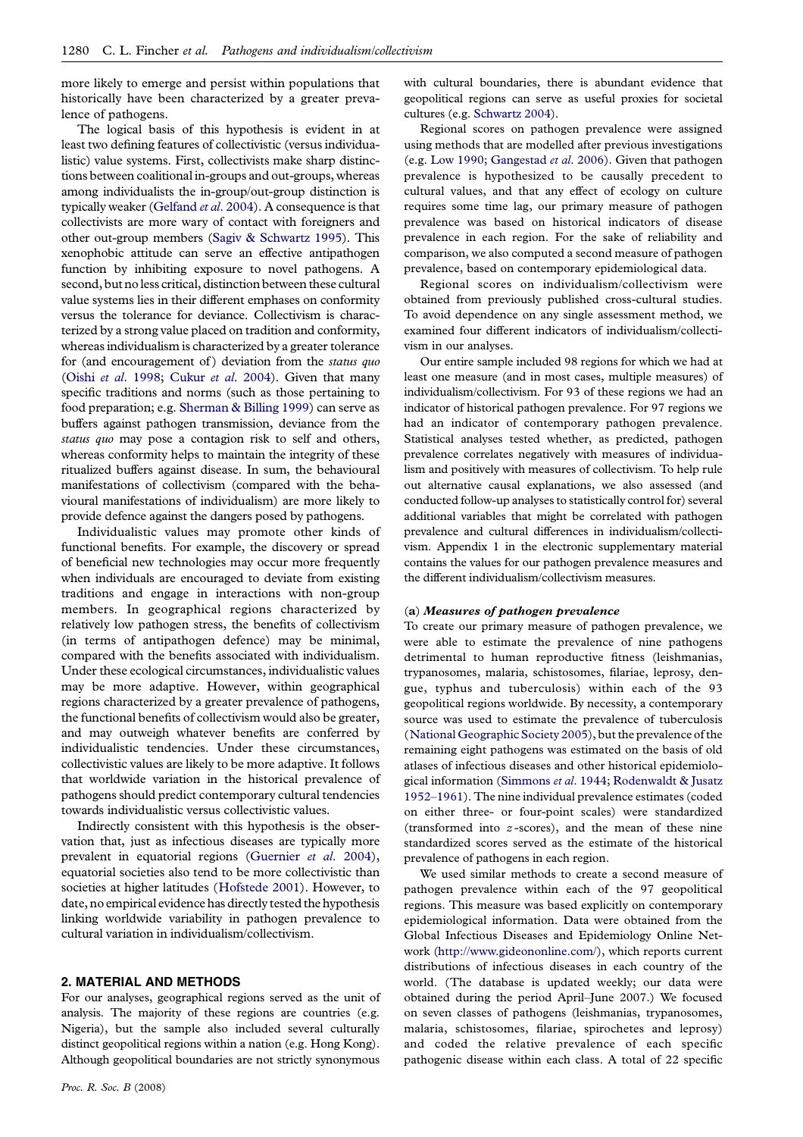more likely to emerge and persist within populations that historically have been characterized by a greater prevalence of pathogens.

The logical basis of this hypothesis is evident in at least two defining features of collectivistic (versus individualistic) value systems. First, collectivists make sharp distinctions between coalitional in-groups and out-groups, whereas among individualists the in-group/out-group distinction is typically weaker ([Gelfand](#page-5-0) et al. 2004). A consequence is that collectivists are more wary of contact with foreigners and other out-group members [\(Sagiv & Schwartz 1995](#page-5-0)). This xenophobic attitude can serve an effective antipathogen function by inhibiting exposure to novel pathogens. A second, but no less critical, distinction between these cultural value systems lies in their different emphases on conformity versus the tolerance for deviance. Collectivism is characterized by a strong value placed on tradition and conformity, whereas individualism is characterized by a greater tolerance for (and encouragement of) deviation from the status quo (Oishi et al[. 1998;](#page-5-0) Cukur et al[. 2004\)](#page-5-0). Given that many specific traditions and norms (such as those pertaining to food preparation; e.g. [Sherman & Billing 1999](#page-6-0)) can serve as buffers against pathogen transmission, deviance from the status quo may pose a contagion risk to self and others, whereas conformity helps to maintain the integrity of these ritualized buffers against disease. In sum, the behavioural manifestations of collectivism (compared with the behavioural manifestations of individualism) are more likely to provide defence against the dangers posed by pathogens.

Individualistic values may promote other kinds of functional benefits. For example, the discovery or spread of beneficial new technologies may occur more frequently when individuals are encouraged to deviate from existing traditions and engage in interactions with non-group members. In geographical regions characterized by relatively low pathogen stress, the benefits of collectivism (in terms of antipathogen defence) may be minimal, compared with the benefits associated with individualism. Under these ecological circumstances, individualistic values may be more adaptive. However, within geographical regions characterized by a greater prevalence of pathogens, the functional benefits of collectivism would also be greater, and may outweigh whatever benefits are conferred by individualistic tendencies. Under these circumstances, collectivistic values are likely to be more adaptive. It follows that worldwide variation in the historical prevalence of pathogens should predict contemporary cultural tendencies towards individualistic versus collectivistic values.

Indirectly consistent with this hypothesis is the observation that, just as infectious diseases are typically more prevalent in equatorial regions [\(Guernier](#page-5-0) et al. 2004), equatorial societies also tend to be more collectivistic than societies at higher latitudes ([Hofstede 2001](#page-5-0)). However, to date, no empirical evidence has directly tested the hypothesis linking worldwide variability in pathogen prevalence to cultural variation in individualism/collectivism.

## 2. MATERIAL AND METHODS

For our analyses, geographical regions served as the unit of analysis. The majority of these regions are countries (e.g. Nigeria), but the sample also included several culturally distinct geopolitical regions within a nation (e.g. Hong Kong). Although geopolitical boundaries are not strictly synonymous

with cultural boundaries, there is abundant evidence that geopolitical regions can serve as useful proxies for societal cultures (e.g. [Schwartz 2004\)](#page-6-0).

Regional scores on pathogen prevalence were assigned using methods that are modelled after previous investigations (e.g. [Low 1990;](#page-5-0) [Gangestad](#page-5-0) et al. 2006). Given that pathogen prevalence is hypothesized to be causally precedent to cultural values, and that any effect of ecology on culture requires some time lag, our primary measure of pathogen prevalence was based on historical indicators of disease prevalence in each region. For the sake of reliability and comparison, we also computed a second measure of pathogen prevalence, based on contemporary epidemiological data.

Regional scores on individualism/collectivism were obtained from previously published cross-cultural studies. To avoid dependence on any single assessment method, we examined four different indicators of individualism/collectivism in our analyses.

Our entire sample included 98 regions for which we had at least one measure (and in most cases, multiple measures) of individualism/collectivism. For 93 of these regions we had an indicator of historical pathogen prevalence. For 97 regions we had an indicator of contemporary pathogen prevalence. Statistical analyses tested whether, as predicted, pathogen prevalence correlates negatively with measures of individualism and positively with measures of collectivism. To help rule out alternative causal explanations, we also assessed (and conducted follow-up analyses to statistically control for) several additional variables that might be correlated with pathogen prevalence and cultural differences in individualism/collectivism. Appendix 1 in the electronic supplementary material contains the values for our pathogen prevalence measures and the different individualism/collectivism measures.

## (a) Measures of pathogen prevalence

To create our primary measure of pathogen prevalence, we were able to estimate the prevalence of nine pathogens detrimental to human reproductive fitness (leishmanias, trypanosomes, malaria, schistosomes, filariae, leprosy, dengue, typhus and tuberculosis) within each of the 93 geopolitical regions worldwide. By necessity, a contemporary source was used to estimate the prevalence of tuberculosis ([National Geographic Society 2005\)](#page-5-0), but the prevalence of the remaining eight pathogens was estimated on the basis of old atlases of infectious diseases and other historical epidemiological information [\(Simmons](#page-6-0) et al. 1944; [Rodenwaldt & Jusatz](#page-5-0) [1952–1961](#page-5-0)). The nine individual prevalence estimates (coded on either three- or four-point scales) were standardized (transformed into  $z$ -scores), and the mean of these nine standardized scores served as the estimate of the historical prevalence of pathogens in each region.

We used similar methods to create a second measure of pathogen prevalence within each of the 97 geopolitical regions. This measure was based explicitly on contemporary epidemiological information. Data were obtained from the Global Infectious Diseases and Epidemiology Online Network (<http://www.gideononline.com/>), which reports current distributions of infectious diseases in each country of the world. (The database is updated weekly; our data were obtained during the period April–June 2007.) We focused on seven classes of pathogens (leishmanias, trypanosomes, malaria, schistosomes, filariae, spirochetes and leprosy) and coded the relative prevalence of each specific pathogenic disease within each class. A total of 22 specific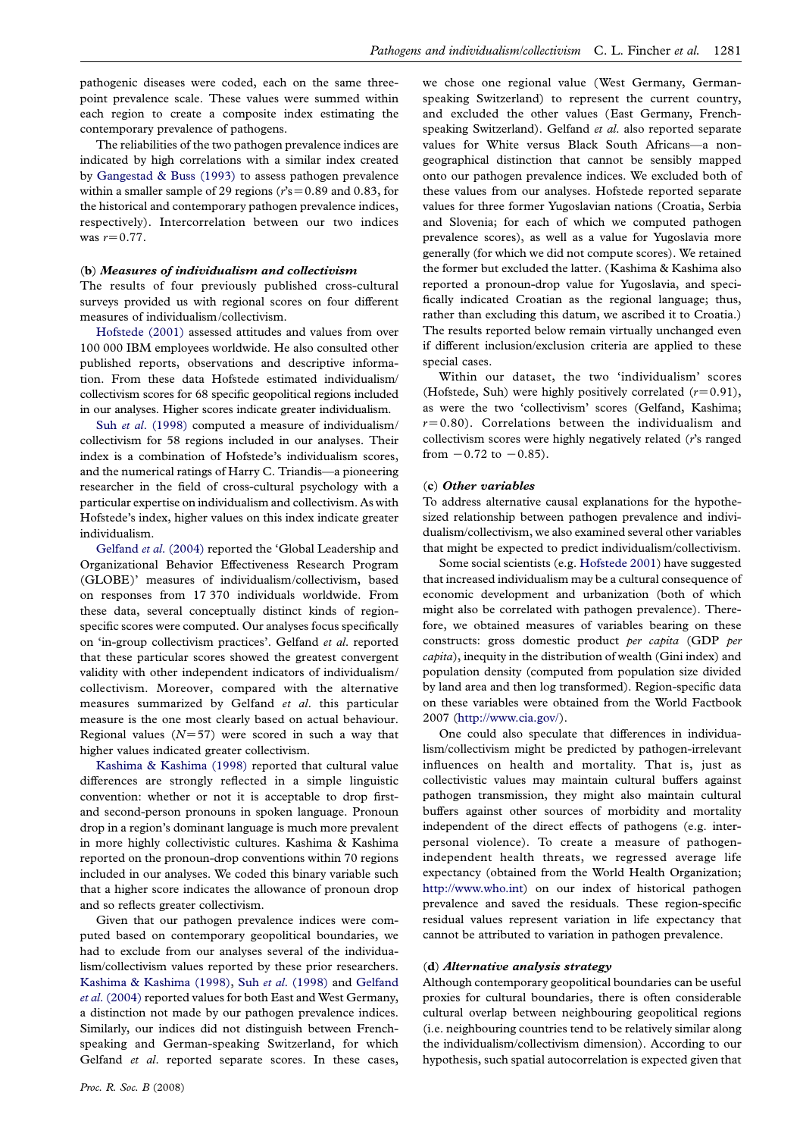pathogenic diseases were coded, each on the same threepoint prevalence scale. These values were summed within each region to create a composite index estimating the contemporary prevalence of pathogens.

The reliabilities of the two pathogen prevalence indices are indicated by high correlations with a similar index created by [Gangestad & Buss \(1993\)](#page-5-0) to assess pathogen prevalence within a smaller sample of 29 regions ( $r$ 's = 0.89 and 0.83, for the historical and contemporary pathogen prevalence indices, respectively). Intercorrelation between our two indices was  $r = 0.77$ .

#### (b) Measures of individualism and collectivism

The results of four previously published cross-cultural surveys provided us with regional scores on four different measures of individualism/collectivism.

[Hofstede \(2001\)](#page-5-0) assessed attitudes and values from over 100 000 IBM employees worldwide. He also consulted other published reports, observations and descriptive information. From these data Hofstede estimated individualism/ collectivism scores for 68 specific geopolitical regions included in our analyses. Higher scores indicate greater individualism.

Suh et al[. \(1998\)](#page-6-0) computed a measure of individualism/ collectivism for 58 regions included in our analyses. Their index is a combination of Hofstede's individualism scores, and the numerical ratings of Harry C. Triandis—a pioneering researcher in the field of cross-cultural psychology with a particular expertise on individualism and collectivism. As with Hofstede's index, higher values on this index indicate greater individualism.

[Gelfand](#page-5-0) et al. (2004) reported the 'Global Leadership and Organizational Behavior Effectiveness Research Program (GLOBE)' measures of individualism/collectivism, based on responses from 17 370 individuals worldwide. From these data, several conceptually distinct kinds of regionspecific scores were computed. Our analyses focus specifically on 'in-group collectivism practices'. Gelfand et al. reported that these particular scores showed the greatest convergent validity with other independent indicators of individualism/ collectivism. Moreover, compared with the alternative measures summarized by Gelfand et al. this particular measure is the one most clearly based on actual behaviour. Regional values  $(N=57)$  were scored in such a way that higher values indicated greater collectivism.

[Kashima & Kashima \(1998\)](#page-5-0) reported that cultural value differences are strongly reflected in a simple linguistic convention: whether or not it is acceptable to drop firstand second-person pronouns in spoken language. Pronoun drop in a region's dominant language is much more prevalent in more highly collectivistic cultures. Kashima & Kashima reported on the pronoun-drop conventions within 70 regions included in our analyses. We coded this binary variable such that a higher score indicates the allowance of pronoun drop and so reflects greater collectivism.

Given that our pathogen prevalence indices were computed based on contemporary geopolitical boundaries, we had to exclude from our analyses several of the individualism/collectivism values reported by these prior researchers. [Kashima & Kashima \(1998\),](#page-5-0) Suh et al[. \(1998\)](#page-6-0) and [Gelfand](#page-5-0) et al[. \(2004\)](#page-5-0) reported values for both East and West Germany, a distinction not made by our pathogen prevalence indices. Similarly, our indices did not distinguish between Frenchspeaking and German-speaking Switzerland, for which Gelfand et al. reported separate scores. In these cases, we chose one regional value (West Germany, Germanspeaking Switzerland) to represent the current country, and excluded the other values (East Germany, Frenchspeaking Switzerland). Gelfand et al. also reported separate values for White versus Black South Africans—a nongeographical distinction that cannot be sensibly mapped onto our pathogen prevalence indices. We excluded both of these values from our analyses. Hofstede reported separate values for three former Yugoslavian nations (Croatia, Serbia and Slovenia; for each of which we computed pathogen prevalence scores), as well as a value for Yugoslavia more generally (for which we did not compute scores). We retained the former but excluded the latter. (Kashima & Kashima also reported a pronoun-drop value for Yugoslavia, and specifically indicated Croatian as the regional language; thus, rather than excluding this datum, we ascribed it to Croatia.) The results reported below remain virtually unchanged even if different inclusion/exclusion criteria are applied to these special cases.

Within our dataset, the two 'individualism' scores (Hofstede, Suh) were highly positively correlated  $(r=0.91)$ , as were the two 'collectivism' scores (Gelfand, Kashima;  $r=0.80$ ). Correlations between the individualism and collectivism scores were highly negatively related (r's ranged from  $-0.72$  to  $-0.85$ ).

#### (c) Other variables

To address alternative causal explanations for the hypothesized relationship between pathogen prevalence and individualism/collectivism, we also examined several other variables that might be expected to predict individualism/collectivism.

Some social scientists (e.g. [Hofstede 2001\)](#page-5-0) have suggested that increased individualism may be a cultural consequence of economic development and urbanization (both of which might also be correlated with pathogen prevalence). Therefore, we obtained measures of variables bearing on these constructs: gross domestic product per capita (GDP per capita), inequity in the distribution of wealth (Gini index) and population density (computed from population size divided by land area and then log transformed). Region-specific data on these variables were obtained from the World Factbook 2007 [\(http://www.cia.gov/](http://www.cia.gov/)).

One could also speculate that differences in individualism/collectivism might be predicted by pathogen-irrelevant influences on health and mortality. That is, just as collectivistic values may maintain cultural buffers against pathogen transmission, they might also maintain cultural buffers against other sources of morbidity and mortality independent of the direct effects of pathogens (e.g. interpersonal violence). To create a measure of pathogenindependent health threats, we regressed average life expectancy (obtained from the World Health Organization; [http://www.who.int\)](http://www.who.int) on our index of historical pathogen prevalence and saved the residuals. These region-specific residual values represent variation in life expectancy that cannot be attributed to variation in pathogen prevalence.

#### (d) Alternative analysis strategy

Although contemporary geopolitical boundaries can be useful proxies for cultural boundaries, there is often considerable cultural overlap between neighbouring geopolitical regions (i.e. neighbouring countries tend to be relatively similar along the individualism/collectivism dimension). According to our hypothesis, such spatial autocorrelation is expected given that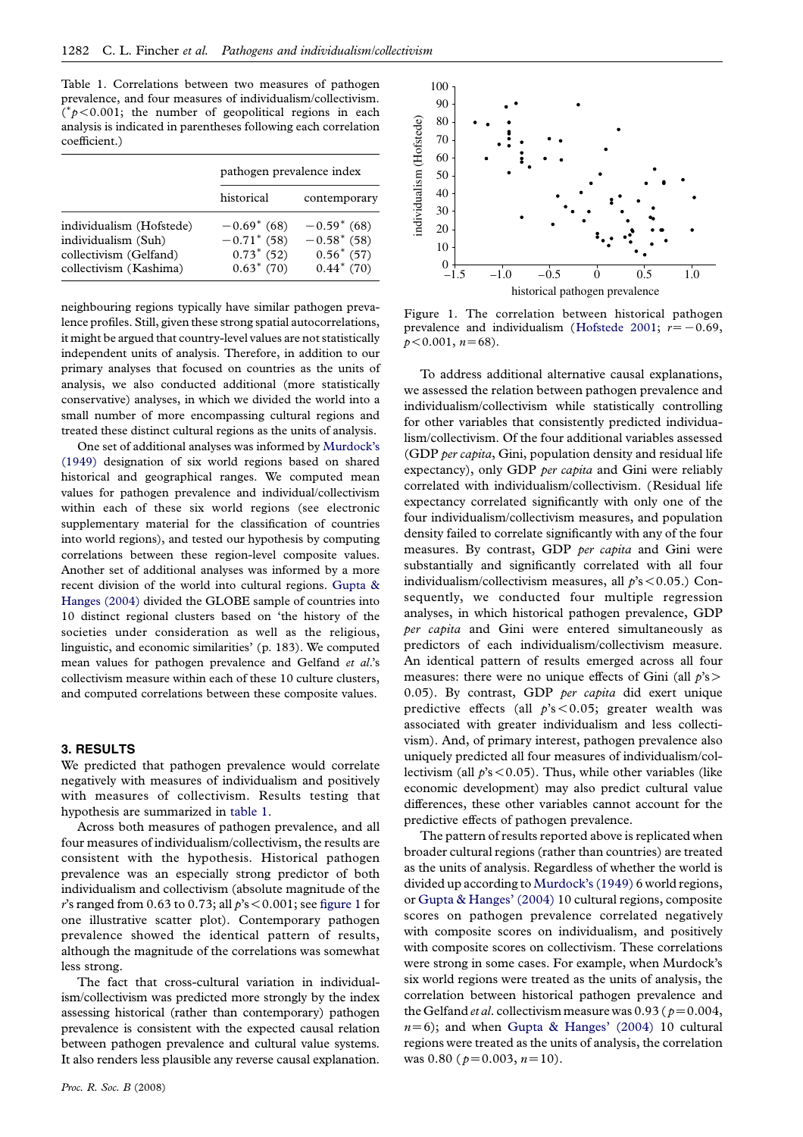Table 1. Correlations between two measures of pathogen prevalence, and four measures of individualism/collectivism.  $(\gamma p<0.001)$ ; the number of geopolitical regions in each analysis is indicated in parentheses following each correlation coefficient.)

|                                                                                                     | pathogen prevalence index                                        |                                                                  |              | 0U<br>50                   |
|-----------------------------------------------------------------------------------------------------|------------------------------------------------------------------|------------------------------------------------------------------|--------------|----------------------------|
|                                                                                                     | historical                                                       | contemporary                                                     | ndividualisn | 40<br>30                   |
| individualism (Hofstede)<br>individualism (Suh)<br>collectivism (Gelfand)<br>collectivism (Kashima) | $-0.69^*$ (68)<br>$-0.71$ (58)<br>$0.73^*$ (52)<br>$0.63^*$ (70) | $-0.59^{*}(68)$<br>$-0.58$ (58)<br>$0.56^*$ (57)<br>$0.44*$ (70) |              | 20<br>10<br>$\overline{0}$ |

neighbouring regions typically have similar pathogen prevalence profiles. Still, given these strong spatial autocorrelations, it might be argued that country-level values are not statistically independent units of analysis. Therefore, in addition to our primary analyses that focused on countries as the units of analysis, we also conducted additional (more statistically conservative) analyses, in which we divided the world into a small number of more encompassing cultural regions and treated these distinct cultural regions as the units of analysis.

One set of additional analyses was informed by [Murdock's](#page-5-0) [\(1949\)](#page-5-0) designation of six world regions based on shared historical and geographical ranges. We computed mean values for pathogen prevalence and individual/collectivism within each of these six world regions (see electronic supplementary material for the classification of countries into world regions), and tested our hypothesis by computing correlations between these region-level composite values. Another set of additional analyses was informed by a more recent division of the world into cultural regions. [Gupta &](#page-5-0) [Hanges \(2004\)](#page-5-0) divided the GLOBE sample of countries into 10 distinct regional clusters based on 'the history of the societies under consideration as well as the religious, linguistic, and economic similarities' (p. 183). We computed mean values for pathogen prevalence and Gelfand et al.'s collectivism measure within each of these 10 culture clusters, and computed correlations between these composite values.

### 3. RESULTS

We predicted that pathogen prevalence would correlate negatively with measures of individualism and positively with measures of collectivism. Results testing that hypothesis are summarized in table 1.

Across both measures of pathogen prevalence, and all four measures of individualism/collectivism, the results are consistent with the hypothesis. Historical pathogen prevalence was an especially strong predictor of both individualism and collectivism (absolute magnitude of the r's ranged from 0.63 to 0.73; all  $p$ 's < 0.001; see figure 1 for one illustrative scatter plot). Contemporary pathogen prevalence showed the identical pattern of results, although the magnitude of the correlations was somewhat less strong.

The fact that cross-cultural variation in individualism/collectivism was predicted more strongly by the index assessing historical (rather than contemporary) pathogen prevalence is consistent with the expected causal relation between pathogen prevalence and cultural value systems. It also renders less plausible any reverse causal explanation.



Figure 1. The correlation between historical pathogen prevalence and individualism ([Hofstede 2001;](#page-5-0)  $r=-0.69$ ,  $p < 0.001$ ,  $n = 68$ ).

To address additional alternative causal explanations, we assessed the relation between pathogen prevalence and individualism/collectivism while statistically controlling for other variables that consistently predicted individualism/collectivism. Of the four additional variables assessed (GDP per capita, Gini, population density and residual life expectancy), only GDP per capita and Gini were reliably correlated with individualism/collectivism. (Residual life expectancy correlated significantly with only one of the four individualism/collectivism measures, and population density failed to correlate significantly with any of the four measures. By contrast, GDP per capita and Gini were substantially and significantly correlated with all four individualism/collectivism measures, all  $p's < 0.05$ .) Consequently, we conducted four multiple regression analyses, in which historical pathogen prevalence, GDP per capita and Gini were entered simultaneously as predictors of each individualism/collectivism measure. An identical pattern of results emerged across all four measures: there were no unique effects of Gini (all  $p's$ ) 0.05). By contrast, GDP per capita did exert unique predictive effects (all  $p's < 0.05$ ; greater wealth was associated with greater individualism and less collectivism). And, of primary interest, pathogen prevalence also uniquely predicted all four measures of individualism/collectivism (all  $p$ 's < 0.05). Thus, while other variables (like economic development) may also predict cultural value differences, these other variables cannot account for the predictive effects of pathogen prevalence.

The pattern of results reported above is replicated when broader cultural regions (rather than countries) are treated as the units of analysis. Regardless of whether the world is divided up according to [Murdock's \(1949\)](#page-5-0) 6 world regions, or [Gupta & Hanges' \(2004\)](#page-5-0) 10 cultural regions, composite scores on pathogen prevalence correlated negatively with composite scores on individualism, and positively with composite scores on collectivism. These correlations were strong in some cases. For example, when Murdock's six world regions were treated as the units of analysis, the correlation between historical pathogen prevalence and the Gelfand et al. collectivism measure was 0.93 ( $p=0.004$ ,  $n=6$ ); and when [Gupta & Hanges' \(2004\)](#page-5-0) 10 cultural regions were treated as the units of analysis, the correlation was 0.80 ( $p=0.003$ ,  $n=10$ ).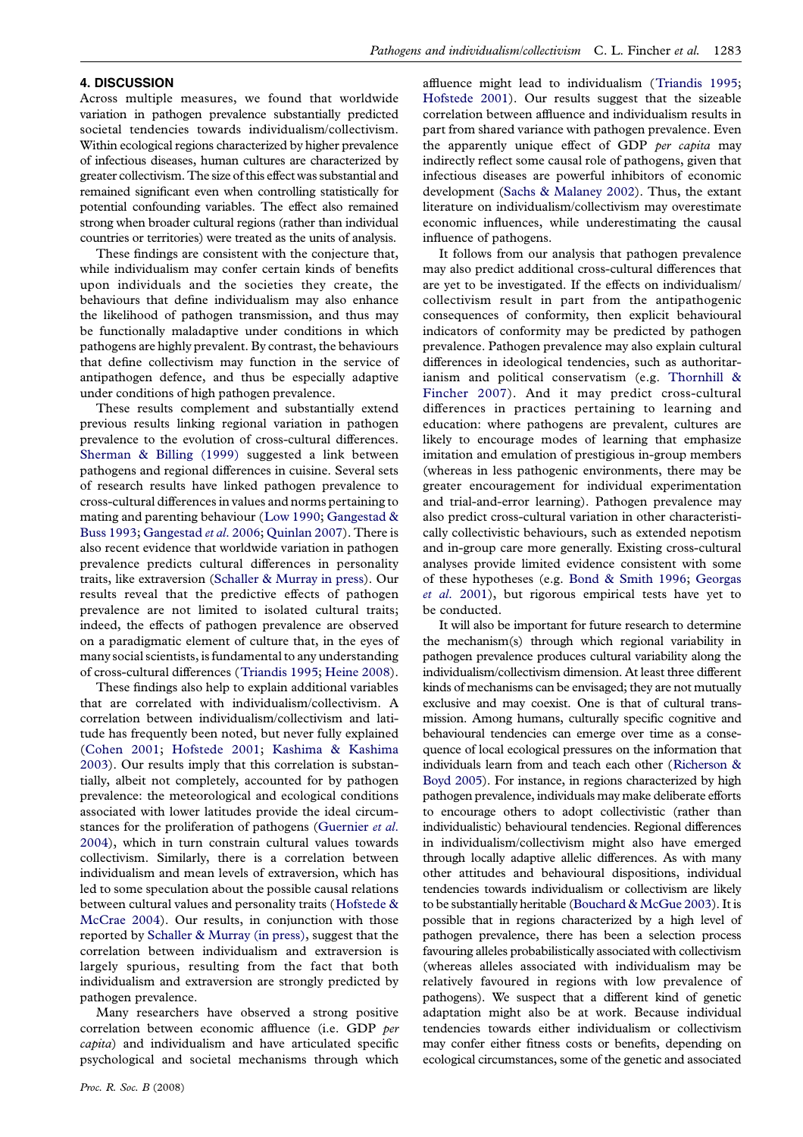## 4. DISCUSSION

Across multiple measures, we found that worldwide variation in pathogen prevalence substantially predicted societal tendencies towards individualism/collectivism. Within ecological regions characterized by higher prevalence of infectious diseases, human cultures are characterized by greater collectivism. The size of this effect was substantial and remained significant even when controlling statistically for potential confounding variables. The effect also remained strong when broader cultural regions (rather than individual countries or territories) were treated as the units of analysis.

These findings are consistent with the conjecture that, while individualism may confer certain kinds of benefits upon individuals and the societies they create, the behaviours that define individualism may also enhance the likelihood of pathogen transmission, and thus may be functionally maladaptive under conditions in which pathogens are highly prevalent. By contrast, the behaviours that define collectivism may function in the service of antipathogen defence, and thus be especially adaptive under conditions of high pathogen prevalence.

These results complement and substantially extend previous results linking regional variation in pathogen prevalence to the evolution of cross-cultural differences. [Sherman & Billing \(1999\)](#page-6-0) suggested a link between pathogens and regional differences in cuisine. Several sets of research results have linked pathogen prevalence to cross-cultural differences in values and norms pertaining to mating and parenting behaviour ([Low 1990](#page-5-0); [Gangestad &](#page-5-0) [Buss 1993](#page-5-0); [Gangestad](#page-5-0) et al. 2006; [Quinlan 2007\)](#page-5-0). There is also recent evidence that worldwide variation in pathogen prevalence predicts cultural differences in personality traits, like extraversion ([Schaller & Murray in press\)](#page-6-0). Our results reveal that the predictive effects of pathogen prevalence are not limited to isolated cultural traits; indeed, the effects of pathogen prevalence are observed on a paradigmatic element of culture that, in the eyes of many social scientists, is fundamental to any understanding of cross-cultural differences ([Triandis 1995;](#page-6-0) [Heine 2008\)](#page-5-0).

These findings also help to explain additional variables that are correlated with individualism/collectivism. A correlation between individualism/collectivism and latitude has frequently been noted, but never fully explained ([Cohen 2001;](#page-5-0) [Hofstede 2001;](#page-5-0) [Kashima & Kashima](#page-5-0) [2003](#page-5-0)). Our results imply that this correlation is substantially, albeit not completely, accounted for by pathogen prevalence: the meteorological and ecological conditions associated with lower latitudes provide the ideal circumstances for the proliferation of pathogens ([Guernier](#page-5-0) et al. [2004](#page-5-0)), which in turn constrain cultural values towards collectivism. Similarly, there is a correlation between individualism and mean levels of extraversion, which has led to some speculation about the possible causal relations between cultural values and personality traits ([Hofstede &](#page-5-0) [McCrae 2004\)](#page-5-0). Our results, in conjunction with those reported by [Schaller & Murray \(in press\)](#page-6-0), suggest that the correlation between individualism and extraversion is largely spurious, resulting from the fact that both individualism and extraversion are strongly predicted by pathogen prevalence.

Many researchers have observed a strong positive correlation between economic affluence (i.e. GDP per capita) and individualism and have articulated specific psychological and societal mechanisms through which affluence might lead to individualism ([Triandis 1995;](#page-6-0) [Hofstede 2001\)](#page-5-0). Our results suggest that the sizeable correlation between affluence and individualism results in part from shared variance with pathogen prevalence. Even the apparently unique effect of GDP per capita may indirectly reflect some causal role of pathogens, given that infectious diseases are powerful inhibitors of economic development [\(Sachs & Malaney 2002](#page-5-0)). Thus, the extant literature on individualism/collectivism may overestimate economic influences, while underestimating the causal influence of pathogens.

It follows from our analysis that pathogen prevalence may also predict additional cross-cultural differences that are yet to be investigated. If the effects on individualism/ collectivism result in part from the antipathogenic consequences of conformity, then explicit behavioural indicators of conformity may be predicted by pathogen prevalence. Pathogen prevalence may also explain cultural differences in ideological tendencies, such as authoritarianism and political conservatism (e.g. [Thornhill &](#page-6-0) [Fincher 2007\)](#page-6-0). And it may predict cross-cultural differences in practices pertaining to learning and education: where pathogens are prevalent, cultures are likely to encourage modes of learning that emphasize imitation and emulation of prestigious in-group members (whereas in less pathogenic environments, there may be greater encouragement for individual experimentation and trial-and-error learning). Pathogen prevalence may also predict cross-cultural variation in other characteristically collectivistic behaviours, such as extended nepotism and in-group care more generally. Existing cross-cultural analyses provide limited evidence consistent with some of these hypotheses (e.g. [Bond & Smith 1996;](#page-5-0) [Georgas](#page-5-0) et al[. 2001\)](#page-5-0), but rigorous empirical tests have yet to be conducted.

It will also be important for future research to determine the mechanism(s) through which regional variability in pathogen prevalence produces cultural variability along the individualism/collectivism dimension. At least three different kinds of mechanisms can be envisaged; they are not mutually exclusive and may coexist. One is that of cultural transmission. Among humans, culturally specific cognitive and behavioural tendencies can emerge over time as a consequence of local ecological pressures on the information that individuals learn from and teach each other ([Richerson &](#page-5-0) [Boyd 2005](#page-5-0)). For instance, in regions characterized by high pathogen prevalence, individuals may make deliberate efforts to encourage others to adopt collectivistic (rather than individualistic) behavioural tendencies. Regional differences in individualism/collectivism might also have emerged through locally adaptive allelic differences. As with many other attitudes and behavioural dispositions, individual tendencies towards individualism or collectivism are likely to be substantially heritable [\(Bouchard & McGue 2003](#page-5-0)). It is possible that in regions characterized by a high level of pathogen prevalence, there has been a selection process favouring alleles probabilistically associated with collectivism (whereas alleles associated with individualism may be relatively favoured in regions with low prevalence of pathogens). We suspect that a different kind of genetic adaptation might also be at work. Because individual tendencies towards either individualism or collectivism may confer either fitness costs or benefits, depending on ecological circumstances, some of the genetic and associated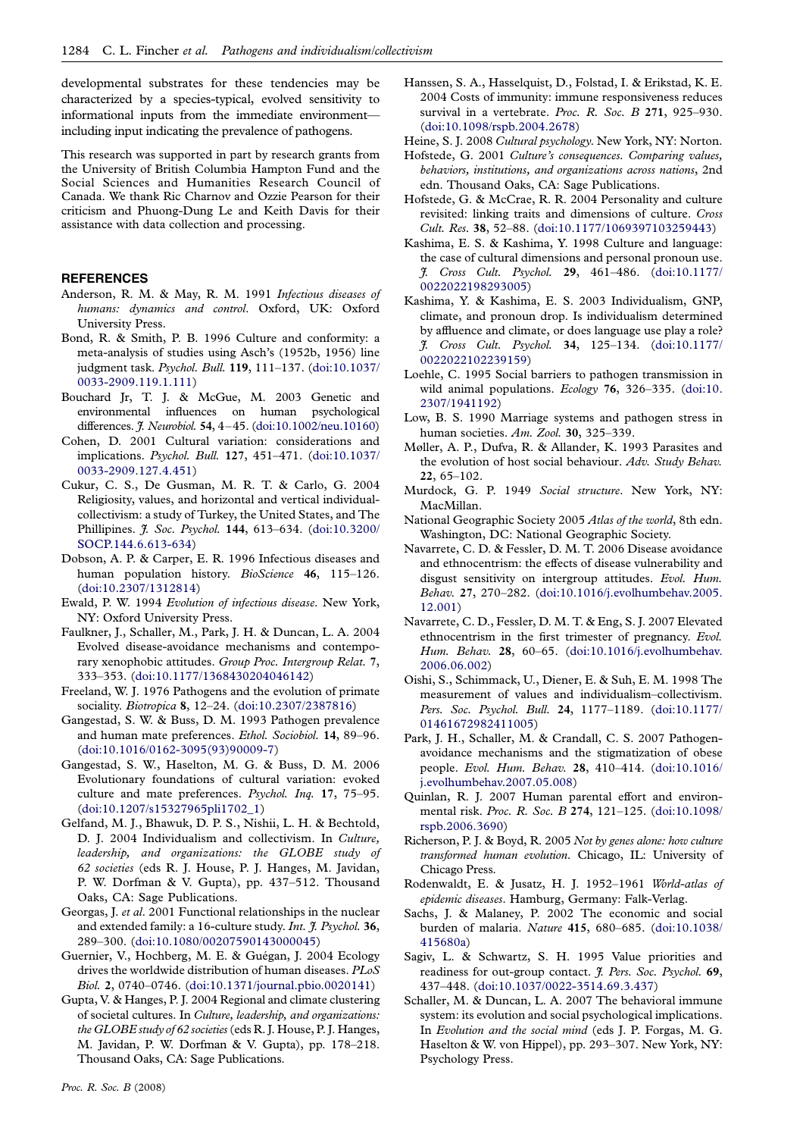<span id="page-5-0"></span>developmental substrates for these tendencies may be characterized by a species-typical, evolved sensitivity to informational inputs from the immediate environment including input indicating the prevalence of pathogens.

This research was supported in part by research grants from the University of British Columbia Hampton Fund and the Social Sciences and Humanities Research Council of Canada. We thank Ric Charnov and Ozzie Pearson for their criticism and Phuong-Dung Le and Keith Davis for their assistance with data collection and processing.

#### REFERENCES

- Anderson, R. M. & May, R. M. 1991 Infectious diseases of humans: dynamics and control. Oxford, UK: Oxford University Press.
- Bond, R. & Smith, P. B. 1996 Culture and conformity: a meta-analysis of studies using Asch's (1952b, 1956) line judgment task. Psychol. Bull. 119, 111–137. ([doi:10.1037/](http://dx.doi.org/doi:10.1037/0033-2909.119.1.111) [0033-2909.119.1.111\)](http://dx.doi.org/doi:10.1037/0033-2909.119.1.111)
- Bouchard Jr, T. J. & McGue, M. 2003 Genetic and environmental influences on human psychological differences. *J. Neurobiol.* 54, 4-45. ([doi:10.1002/neu.10160\)](http://dx.doi.org/doi:10.1002/neu.10160)
- Cohen, D. 2001 Cultural variation: considerations and implications. Psychol. Bull. 127, 451–471. ([doi:10.1037/](http://dx.doi.org/doi:10.1037/0033-2909.127.4.451) [0033-2909.127.4.451\)](http://dx.doi.org/doi:10.1037/0033-2909.127.4.451)
- Cukur, C. S., De Gusman, M. R. T. & Carlo, G. 2004 Religiosity, values, and horizontal and vertical individualcollectivism: a study of Turkey, the United States, and The Phillipines. J. Soc. Psychol. 144, 613–634. ([doi:10.3200/](http://dx.doi.org/doi:10.3200/SOCP.144.6.613-634) [SOCP.144.6.613-634](http://dx.doi.org/doi:10.3200/SOCP.144.6.613-634))
- Dobson, A. P. & Carper, E. R. 1996 Infectious diseases and human population history. BioScience 46, 115-126. ([doi:10.2307/1312814](http://dx.doi.org/doi:10.2307/1312814))
- Ewald, P. W. 1994 Evolution of infectious disease. New York, NY: Oxford University Press.
- Faulkner, J., Schaller, M., Park, J. H. & Duncan, L. A. 2004 Evolved disease-avoidance mechanisms and contemporary xenophobic attitudes. Group Proc. Intergroup Relat. 7, 333–353. [\(doi:10.1177/1368430204046142](http://dx.doi.org/doi:10.1177/1368430204046142))
- Freeland, W. J. 1976 Pathogens and the evolution of primate sociality. Biotropica 8, 12–24. [\(doi:10.2307/2387816\)](http://dx.doi.org/doi:10.2307/2387816)
- Gangestad, S. W. & Buss, D. M. 1993 Pathogen prevalence and human mate preferences. Ethol. Sociobiol. 14, 89–96. ([doi:10.1016/0162-3095\(93\)90009-7](http://dx.doi.org/doi:10.1016/0162-3095(93)90009-7))
- Gangestad, S. W., Haselton, M. G. & Buss, D. M. 2006 Evolutionary foundations of cultural variation: evoked culture and mate preferences. Psychol. Inq. 17, 75–95. ([doi:10.1207/s15327965pli1702\\_1\)](http://dx.doi.org/doi:10.1207/s15327965pli1702_1)
- Gelfand, M. J., Bhawuk, D. P. S., Nishii, L. H. & Bechtold, D. J. 2004 Individualism and collectivism. In Culture, leadership, and organizations: the GLOBE study of 62 societies (eds R. J. House, P. J. Hanges, M. Javidan, P. W. Dorfman & V. Gupta), pp. 437–512. Thousand Oaks, CA: Sage Publications.
- Georgas, J. et al. 2001 Functional relationships in the nuclear and extended family: a 16-culture study. Int. J. Psychol. 36, 289–300. [\(doi:10.1080/00207590143000045](http://dx.doi.org/doi:10.1080/00207590143000045))
- Guernier, V., Hochberg, M. E. & Guégan, J. 2004 Ecology drives the worldwide distribution of human diseases. PLoS Biol. 2, 0740–0746. [\(doi:10.1371/journal.pbio.0020141\)](http://dx.doi.org/doi:10.1371/journal.pbio.0020141)
- Gupta, V. & Hanges, P. J. 2004 Regional and climate clustering of societal cultures. In Culture, leadership, and organizations: the GLOBE study of 62 societies (eds R. J. House, P. J. Hanges, M. Javidan, P. W. Dorfman & V. Gupta), pp. 178–218. Thousand Oaks, CA: Sage Publications.
- Hanssen, S. A., Hasselquist, D., Folstad, I. & Erikstad, K. E. 2004 Costs of immunity: immune responsiveness reduces survival in a vertebrate. Proc. R. Soc. B 271, 925-930. ([doi:10.1098/rspb.2004.2678](http://dx.doi.org/doi:10.1098/rspb.2004.2678))
- Heine, S. J. 2008 Cultural psychology. New York, NY: Norton.
- Hofstede, G. 2001 Culture's consequences. Comparing values, behaviors, institutions, and organizations across nations, 2nd edn. Thousand Oaks, CA: Sage Publications.
- Hofstede, G. & McCrae, R. R. 2004 Personality and culture revisited: linking traits and dimensions of culture. Cross Cult. Res. 38, 52–88. [\(doi:10.1177/1069397103259443\)](http://dx.doi.org/doi:10.1177/1069397103259443)
- Kashima, E. S. & Kashima, Y. 1998 Culture and language: the case of cultural dimensions and personal pronoun use. J. Cross Cult. Psychol. 29, 461–486. ([doi:10.1177/](http://dx.doi.org/doi:10.1177/0022022198293005) [0022022198293005\)](http://dx.doi.org/doi:10.1177/0022022198293005)
- Kashima, Y. & Kashima, E. S. 2003 Individualism, GNP, climate, and pronoun drop. Is individualism determined by affluence and climate, or does language use play a role? J. Cross Cult. Psychol. 34, 125–134. ([doi:10.1177/](http://dx.doi.org/doi:10.1177/0022022102239159) [0022022102239159\)](http://dx.doi.org/doi:10.1177/0022022102239159)
- Loehle, C. 1995 Social barriers to pathogen transmission in wild animal populations. Ecology 76, 326–335. ([doi:10.](http://dx.doi.org/doi:10.2307/1941192) [2307/1941192](http://dx.doi.org/doi:10.2307/1941192))
- Low, B. S. 1990 Marriage systems and pathogen stress in human societies. Am. Zool. 30, 325–339.
- Møller, A. P., Dufva, R. & Allander, K. 1993 Parasites and the evolution of host social behaviour. Adv. Study Behav. 22, 65–102.
- Murdock, G. P. 1949 Social structure. New York, NY: MacMillan.
- National Geographic Society 2005 Atlas of the world, 8th edn. Washington, DC: National Geographic Society.
- Navarrete, C. D. & Fessler, D. M. T. 2006 Disease avoidance and ethnocentrism: the effects of disease vulnerability and disgust sensitivity on intergroup attitudes. Evol. Hum. Behav. 27, 270–282. ([doi:10.1016/j.evolhumbehav.2005.](http://dx.doi.org/doi:10.1016/j.evolhumbehav.2005.12.001) [12.001\)](http://dx.doi.org/doi:10.1016/j.evolhumbehav.2005.12.001)
- Navarrete, C. D., Fessler, D. M. T. & Eng, S. J. 2007 Elevated ethnocentrism in the first trimester of pregnancy. Evol. Hum. Behav. 28, 60–65. [\(doi:10.1016/j.evolhumbehav.](http://dx.doi.org/doi:10.1016/j.evolhumbehav.2006.06.002) [2006.06.002](http://dx.doi.org/doi:10.1016/j.evolhumbehav.2006.06.002))
- Oishi, S., Schimmack, U., Diener, E. & Suh, E. M. 1998 The measurement of values and individualism–collectivism. Pers. Soc. Psychol. Bull. 24, 1177–1189. ([doi:10.1177/](http://dx.doi.org/doi:10.1177/01461672982411005) [01461672982411005](http://dx.doi.org/doi:10.1177/01461672982411005))
- Park, J. H., Schaller, M. & Crandall, C. S. 2007 Pathogenavoidance mechanisms and the stigmatization of obese people. Evol. Hum. Behav. 28, 410–414. ([doi:10.1016/](http://dx.doi.org/doi:10.1016/j.evolhumbehav.2007.05.008) [j.evolhumbehav.2007.05.008](http://dx.doi.org/doi:10.1016/j.evolhumbehav.2007.05.008))
- Quinlan, R. J. 2007 Human parental effort and environmental risk. Proc. R. Soc. B 274, 121–125. ([doi:10.1098/](http://dx.doi.org/doi:10.1098/rspb.2006.3690) [rspb.2006.3690\)](http://dx.doi.org/doi:10.1098/rspb.2006.3690)
- Richerson, P. J. & Boyd, R. 2005 Not by genes alone: how culture transformed human evolution. Chicago, IL: University of Chicago Press.
- Rodenwaldt, E. & Jusatz, H. J. 1952–1961 World-atlas of epidemic diseases. Hamburg, Germany: Falk-Verlag.
- Sachs, J. & Malaney, P. 2002 The economic and social burden of malaria. Nature 415, 680–685. ([doi:10.1038/](http://dx.doi.org/doi:10.1038/415680a) [415680a](http://dx.doi.org/doi:10.1038/415680a))
- Sagiv, L. & Schwartz, S. H. 1995 Value priorities and readiness for out-group contact. J. Pers. Soc. Psychol. 69, 437–448. [\(doi:10.1037/0022-3514.69.3.437\)](http://dx.doi.org/doi:10.1037/0022-3514.69.3.437)
- Schaller, M. & Duncan, L. A. 2007 The behavioral immune system: its evolution and social psychological implications. In Evolution and the social mind (eds J. P. Forgas, M. G. Haselton & W. von Hippel), pp. 293–307. New York, NY: Psychology Press.